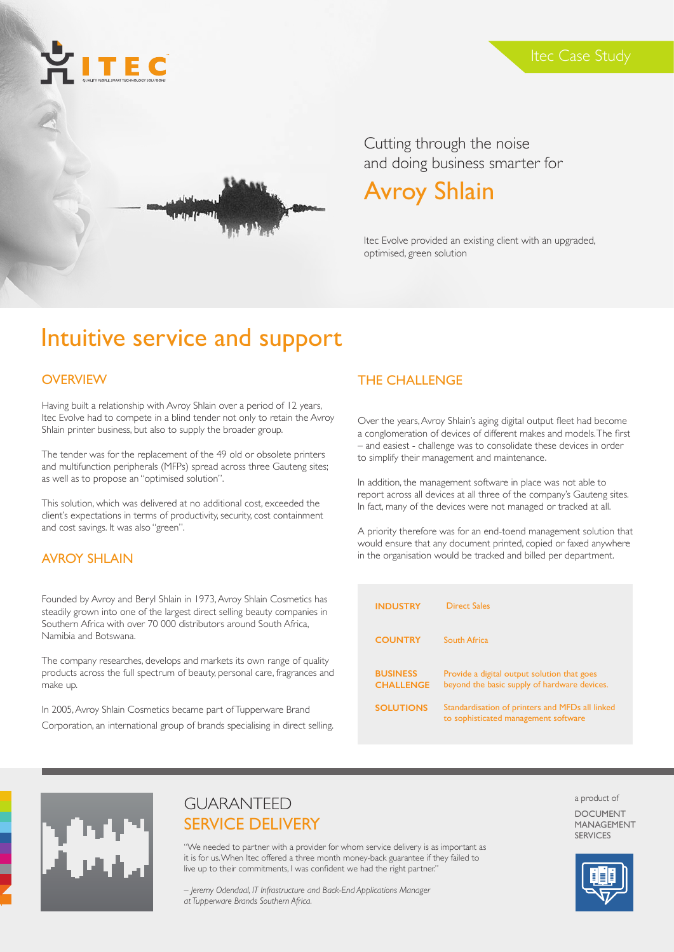



Cutting through the noise and doing business smarter for

# Avroy Shlain

Itec Evolve provided an existing client with an upgraded, optimised, green solution

# Intuitive service and support

#### **OVERVIEW**

Having built a relationship with Avroy Shlain over a period of 12 years, Itec Evolve had to compete in a blind tender not only to retain the Avroy Shlain printer business, but also to supply the broader group.

The tender was for the replacement of the 49 old or obsolete printers and multifunction peripherals (MFPs) spread across three Gauteng sites; as well as to propose an "optimised solution".

This solution, which was delivered at no additional cost, exceeded the client's expectations in terms of productivity, security, cost containment and cost savings. It was also "green".

#### AVROY SHLAIN

Founded by Avroy and Beryl Shlain in 1973, Avroy Shlain Cosmetics has steadily grown into one of the largest direct selling beauty companies in Southern Africa with over 70 000 distributors around South Africa, Namibia and Botswana.

The company researches, develops and markets its own range of quality products across the full spectrum of beauty, personal care, fragrances and make up.

In 2005, Avroy Shlain Cosmetics became part of Tupperware Brand Corporation, an international group of brands specialising in direct selling.

#### THE CHALLENGE

Over the years, Avroy Shlain's aging digital output fleet had become a conglomeration of devices of different makes and models. The first – and easiest - challenge was to consolidate these devices in order to simplify their management and maintenance.

In addition, the management software in place was not able to report across all devices at all three of the company's Gauteng sites. In fact, many of the devices were not managed or tracked at all.

A priority therefore was for an end-toend management solution that would ensure that any document printed, copied or faxed anywhere in the organisation would be tracked and billed per department.

| <b>INDUSTRY</b>                     | Direct Sales                                                                                |
|-------------------------------------|---------------------------------------------------------------------------------------------|
| <b>COUNTRY</b>                      | South Africa                                                                                |
| <b>BUSINESS</b><br><b>CHALLENGE</b> | Provide a digital output solution that goes<br>beyond the basic supply of hardware devices. |
| <b>SOLUTIONS</b>                    | Standardisation of printers and MFDs all linked<br>to sophisticated management software     |



## GUARANTEED SERVICE DELIVERY

"We needed to partner with a provider for whom service delivery is as important as it is for us. When Itec offered a three month money-back guarantee if they failed to live up to their commitments, I was confident we had the right partner."

*– Jeremy Odendaal, IT Infrastructure and Back-End Applications Manager at Tupperware Brands Southern Africa.*

a product of DOCUMENT MANAGEMENT SERVICES